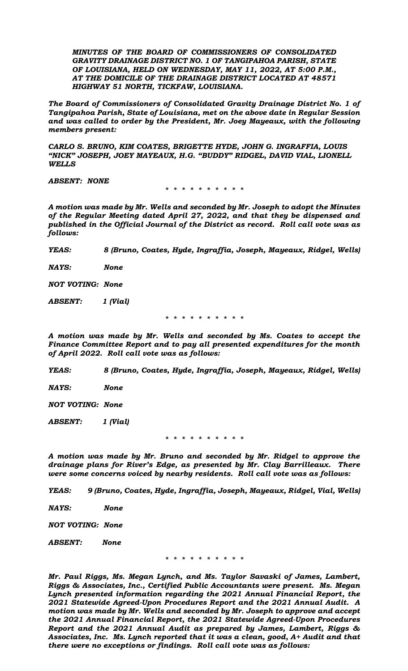*MINUTES OF THE BOARD OF COMMISSIONERS OF CONSOLIDATED GRAVITY DRAINAGE DISTRICT NO. 1 OF TANGIPAHOA PARISH, STATE OF LOUISIANA, HELD ON WEDNESDAY, MAY 11, 2022, AT 5:00 P.M., AT THE DOMICILE OF THE DRAINAGE DISTRICT LOCATED AT 48571 HIGHWAY 51 NORTH, TICKFAW, LOUISIANA.*

*The Board of Commissioners of Consolidated Gravity Drainage District No. 1 of Tangipahoa Parish, State of Louisiana, met on the above date in Regular Session and was called to order by the President, Mr. Joey Mayeaux, with the following members present:* 

*CARLO S. BRUNO, KIM COATES, BRIGETTE HYDE, JOHN G. INGRAFFIA, LOUIS "NICK" JOSEPH, JOEY MAYEAUX, H.G. "BUDDY" RIDGEL, DAVID VIAL, LIONELL WELLS*

*ABSENT: NONE*

*\* \* \* \* \* \* \* \* \* \**

*A motion was made by Mr. Wells and seconded by Mr. Joseph to adopt the Minutes of the Regular Meeting dated April 27, 2022, and that they be dispensed and published in the Official Journal of the District as record. Roll call vote was as follows:* 

*YEAS: 8 (Bruno, Coates, Hyde, Ingraffia, Joseph, Mayeaux, Ridgel, Wells)* 

*NAYS: None*

*NOT VOTING: None*

*ABSENT: 1 (Vial)*

*\* \* \* \* \* \* \* \* \* \**

*A motion was made by Mr. Wells and seconded by Ms. Coates to accept the Finance Committee Report and to pay all presented expenditures for the month of April 2022. Roll call vote was as follows:*

*YEAS: 8 (Bruno, Coates, Hyde, Ingraffia, Joseph, Mayeaux, Ridgel, Wells)* 

*NAYS: None*

*NOT VOTING: None*

*ABSENT: 1 (Vial)*

*\* \* \* \* \* \* \* \* \* \**

*A motion was made by Mr. Bruno and seconded by Mr. Ridgel to approve the drainage plans for River's Edge, as presented by Mr. Clay Barrilleaux. There were some concerns voiced by nearby residents. Roll call vote was as follows:*

*YEAS: 9 (Bruno, Coates, Hyde, Ingraffia, Joseph, Mayeaux, Ridgel, Vial, Wells)* 

*NAYS: None*

*NOT VOTING: None*

*ABSENT: None*

*\* \* \* \* \* \* \* \* \* \**

*Mr. Paul Riggs, Ms. Megan Lynch, and Ms. Taylor Savaski of James, Lambert, Riggs & Associates, Inc., Certified Public Accountants were present. Ms. Megan Lynch presented information regarding the 2021 Annual Financial Report, the 2021 Statewide Agreed-Upon Procedures Report and the 2021 Annual Audit. A motion was made by Mr. Wells and seconded by Mr. Joseph to approve and accept the 2021 Annual Financial Report, the 2021 Statewide Agreed-Upon Procedures Report and the 2021 Annual Audit as prepared by James, Lambert, Riggs & Associates, Inc. Ms. Lynch reported that it was a clean, good, A+ Audit and that there were no exceptions or findings. Roll call vote was as follows:*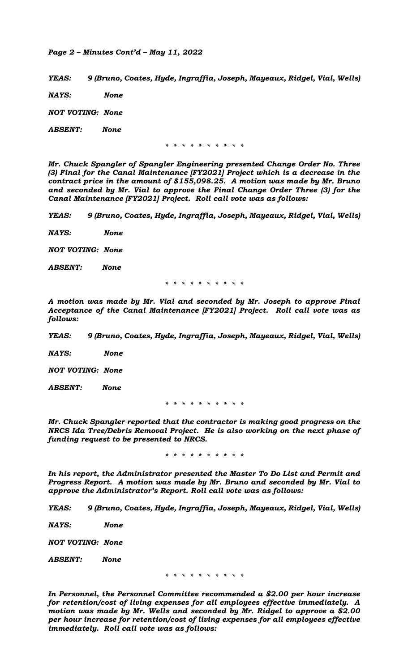## *Page 2 – Minutes Cont'd – May 11, 2022*

*YEAS: 9 (Bruno, Coates, Hyde, Ingraffia, Joseph, Mayeaux, Ridgel, Vial, Wells)* 

*NAYS: None*

*NOT VOTING: None*

*ABSENT: None*

*\* \* \* \* \* \* \* \* \* \**

*Mr. Chuck Spangler of Spangler Engineering presented Change Order No. Three (3) Final for the Canal Maintenance [FY2021] Project which is a decrease in the contract price in the amount of \$155,098.25. A motion was made by Mr. Bruno and seconded by Mr. Vial to approve the Final Change Order Three (3) for the Canal Maintenance [FY2021] Project. Roll call vote was as follows:*

*YEAS: 9 (Bruno, Coates, Hyde, Ingraffia, Joseph, Mayeaux, Ridgel, Vial, Wells)* 

*NAYS: None*

*NOT VOTING: None*

*ABSENT: None*

*\* \* \* \* \* \* \* \* \* \**

*A motion was made by Mr. Vial and seconded by Mr. Joseph to approve Final Acceptance of the Canal Maintenance [FY2021] Project. Roll call vote was as follows:*

*YEAS: 9 (Bruno, Coates, Hyde, Ingraffia, Joseph, Mayeaux, Ridgel, Vial, Wells)* 

*NAYS: None*

*NOT VOTING: None*

*ABSENT: None*

*\* \* \* \* \* \* \* \* \* \**

*Mr. Chuck Spangler reported that the contractor is making good progress on the NRCS Ida Tree/Debris Removal Project. He is also working on the next phase of funding request to be presented to NRCS.*

*\* \* \* \* \* \* \* \* \* \**

*In his report, the Administrator presented the Master To Do List and Permit and Progress Report. A motion was made by Mr. Bruno and seconded by Mr. Vial to approve the Administrator's Report. Roll call vote was as follows:*

*YEAS: 9 (Bruno, Coates, Hyde, Ingraffia, Joseph, Mayeaux, Ridgel, Vial, Wells)* 

*NAYS: None*

*NOT VOTING: None*

*ABSENT: None*

*\* \* \* \* \* \* \* \* \* \**

*In Personnel, the Personnel Committee recommended a \$2.00 per hour increase for retention/cost of living expenses for all employees effective immediately. A motion was made by Mr. Wells and seconded by Mr. Ridgel to approve a \$2.00 per hour increase for retention/cost of living expenses for all employees effective immediately. Roll call vote was as follows:*